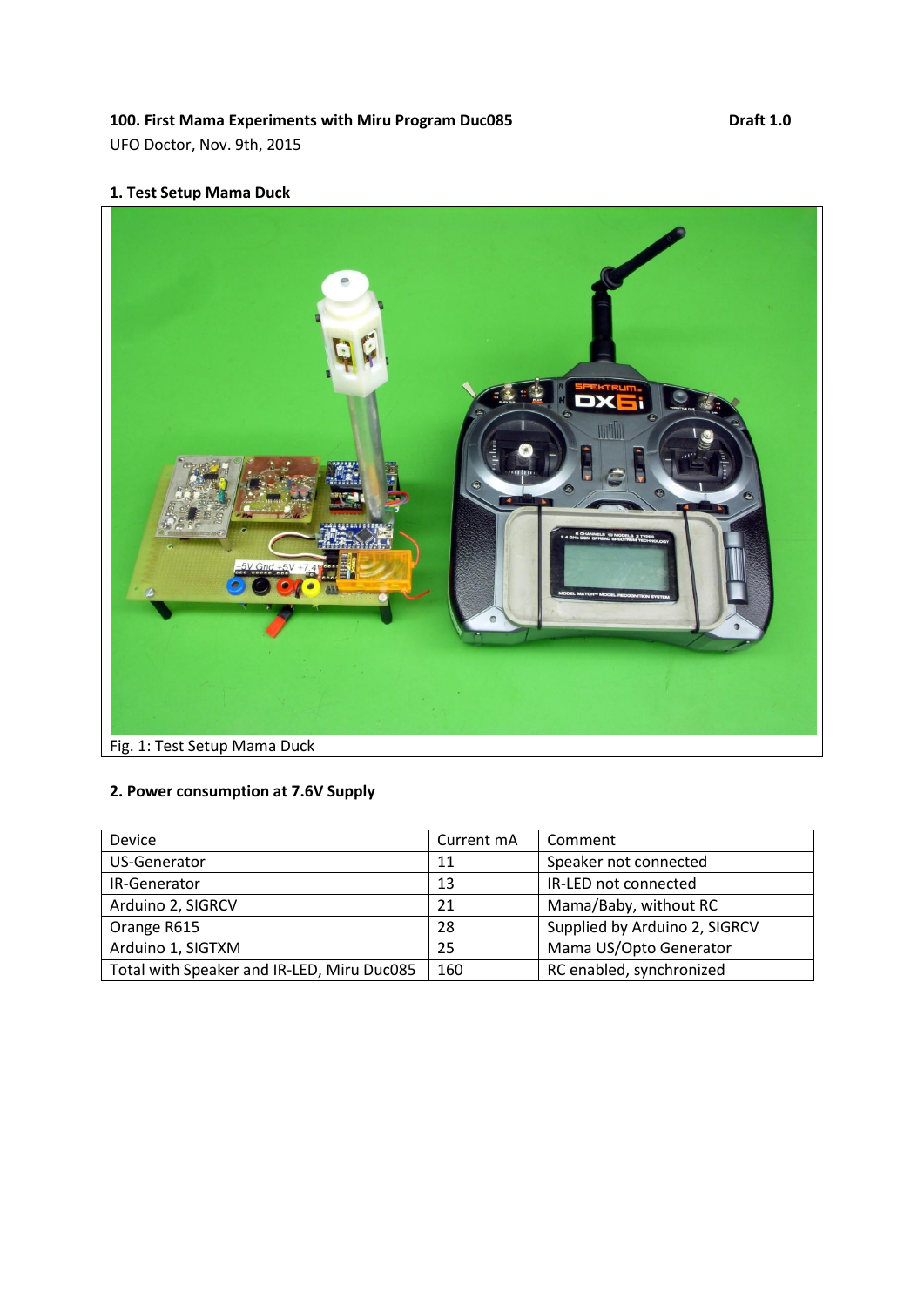### **100. First Mama Experiments with Miru Program Duc085 Communist Construct Draft 1.0**

UFO Doctor, Nov. 9th, 2015

# **1. Test Setup Mama Duck**



# **2. Power consumption at 7.6V Supply**

| Device                                     | Current mA | Comment                       |
|--------------------------------------------|------------|-------------------------------|
| US-Generator                               | 11         | Speaker not connected         |
| <b>IR-Generator</b>                        | 13         | IR-LED not connected          |
| Arduino 2, SIGRCV                          | 21         | Mama/Baby, without RC         |
| Orange R615                                | 28         | Supplied by Arduino 2, SIGRCV |
| Arduino 1, SIGTXM                          | 25         | Mama US/Opto Generator        |
| Total with Speaker and IR-LED, Miru Duc085 | 160        | RC enabled, synchronized      |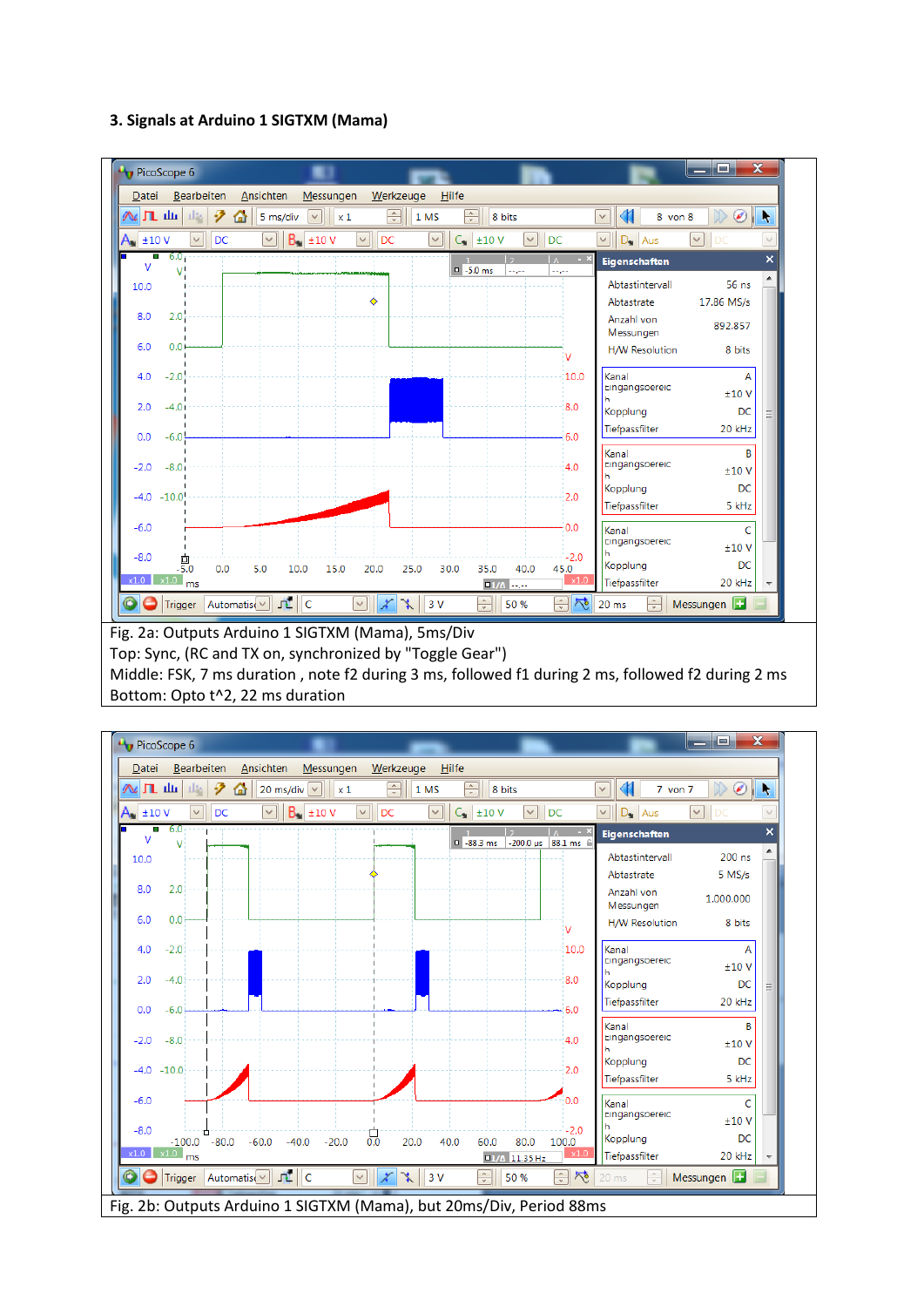#### **3. Signals at Arduino 1 SIGTXM (Mama)**



Bottom: Opto t^2, 22 ms duration